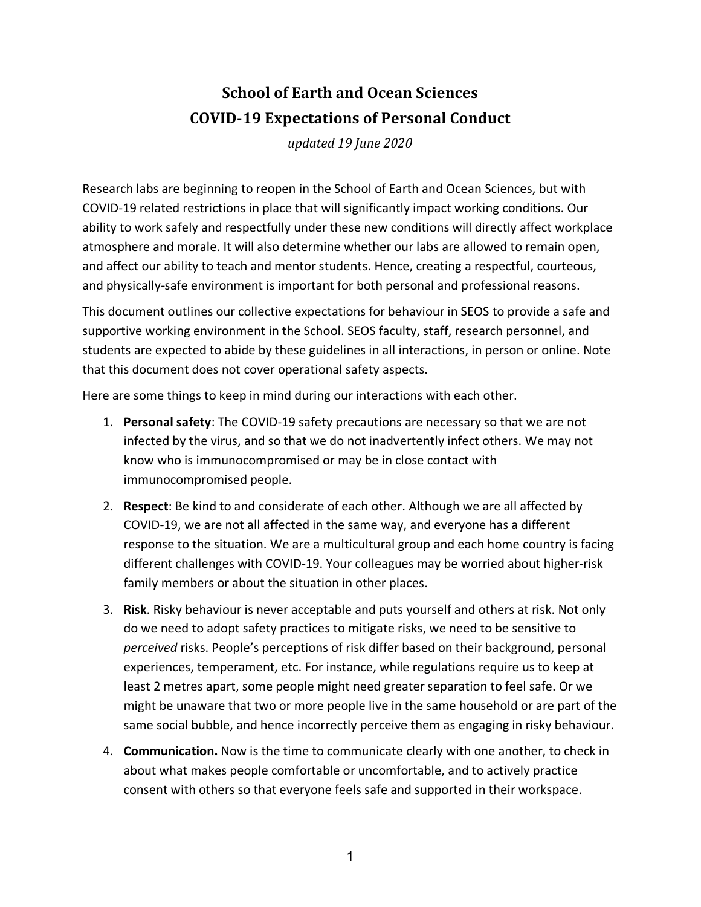## **School of Earth and Ocean Sciences COVID-19 Expectations of Personal Conduct**

*updated 19 June 2020*

Research labs are beginning to reopen in the School of Earth and Ocean Sciences, but with COVID-19 related restrictions in place that will significantly impact working conditions. Our ability to work safely and respectfully under these new conditions will directly affect workplace atmosphere and morale. It will also determine whether our labs are allowed to remain open, and affect our ability to teach and mentor students. Hence, creating a respectful, courteous, and physically-safe environment is important for both personal and professional reasons.

This document outlines our collective expectations for behaviour in SEOS to provide a safe and supportive working environment in the School. SEOS faculty, staff, research personnel, and students are expected to abide by these guidelines in all interactions, in person or online. Note that this document does not cover operational safety aspects.

Here are some things to keep in mind during our interactions with each other.

- 1. **Personal safety**: The COVID-19 safety precautions are necessary so that we are not infected by the virus, and so that we do not inadvertently infect others. We may not know who is immunocompromised or may be in close contact with immunocompromised people.
- 2. **Respect**: Be kind to and considerate of each other. Although we are all affected by COVID-19, we are not all affected in the same way, and everyone has a different response to the situation. We are a multicultural group and each home country is facing different challenges with COVID-19. Your colleagues may be worried about higher-risk family members or about the situation in other places.
- 3. **Risk**. Risky behaviour is never acceptable and puts yourself and others at risk. Not only do we need to adopt safety practices to mitigate risks, we need to be sensitive to *perceived* risks. People's perceptions of risk differ based on their background, personal experiences, temperament, etc. For instance, while regulations require us to keep at least 2 metres apart, some people might need greater separation to feel safe. Or we might be unaware that two or more people live in the same household or are part of the same social bubble, and hence incorrectly perceive them as engaging in risky behaviour.
- 4. **Communication.** Now is the time to communicate clearly with one another, to check in about what makes people comfortable or uncomfortable, and to actively practice consent with others so that everyone feels safe and supported in their workspace.